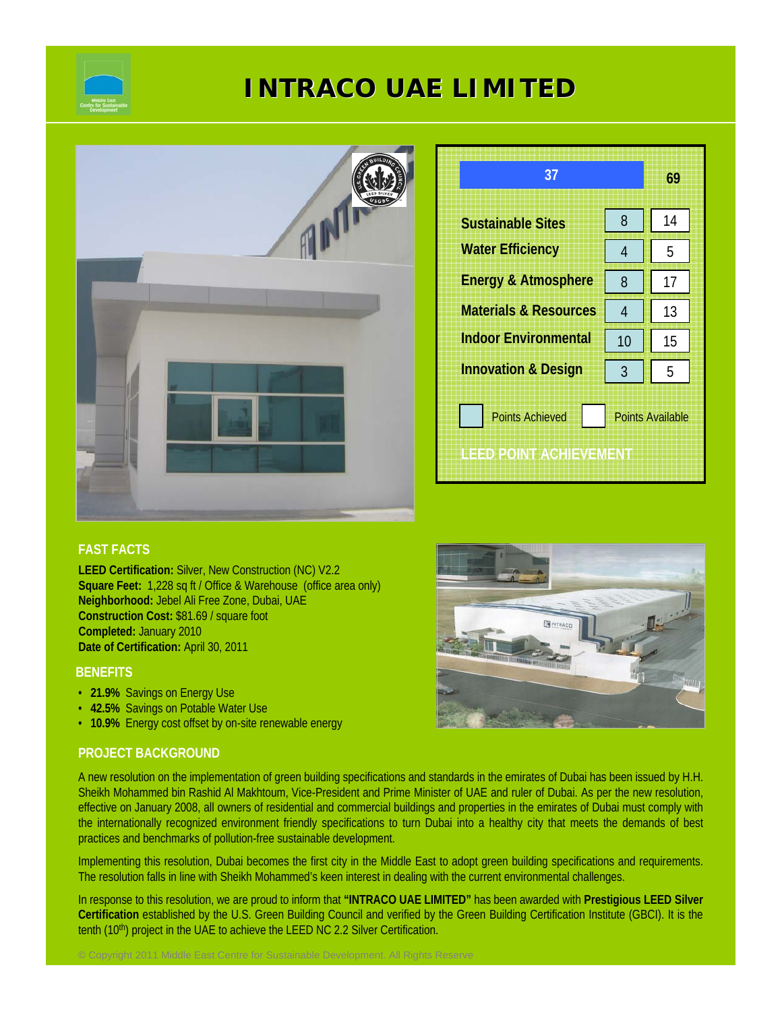

# **INTRACO UAE LIMITED INTRACO UAE LIMITED**



| 37                                                                          |    | 69 |  |
|-----------------------------------------------------------------------------|----|----|--|
| <b>Sustainable Sites</b>                                                    | 8  | 14 |  |
| <b>Water Efficiency</b>                                                     | 4  | 5  |  |
| <b>Energy &amp; Atmosphere</b>                                              | 8  | 17 |  |
| <b>Materials &amp; Resources</b>                                            | 4  | 13 |  |
| <b>Indoor Environmental</b>                                                 | 10 | 15 |  |
| <b>Innovation &amp; Design</b>                                              | 3  | 5  |  |
| <b>Points Achieved</b><br><b>Points Available</b><br>ILED POINT ACHIEVEMENT |    |    |  |

# **FAST FACTS**

**LEED Certification:** Silver, New Construction (NC) V2.2 **Square Feet:** 1,228 sq ft / Office & Warehouse (office area only) **Neighborhood:** Jebel Ali Free Zone, Dubai, UAE **Construction Cost:** \$81.69 / square foot **Completed:** January 2010 **Date of Certification:** April 30, 2011

### **BENEFITS**

- **21.9%** Savings on Energy Use
- **42.5%** Savings on Potable Water Use
- **10.9%** Energy cost offset by on-site renewable energy

© Copyright 2011 Middle East Centre for Sustainable Development. All Rights Reserve

# **PROJECT BACKGROUND**

A new resolution on the implementation of green building specifications and standards in the emirates of Dubai has been issued by H.H. Sheikh Mohammed bin Rashid Al Makhtoum, Vice-President and Prime Minister of UAE and ruler of Dubai. As per the new resolution, effective on January 2008, all owners of residential and commercial buildings and properties in the emirates of Dubai must comply with the internationally recognized environment friendly specifications to turn Dubai into a healthy city that meets the demands of best practices and benchmarks of pollution-free sustainable development.

Implementing this resolution, Dubai becomes the first city in the Middle East to adopt green building specifications and requirements. The resolution falls in line with Sheikh Mohammed's keen interest in dealing with the current environmental challenges.

In response to this resolution, we are proud to inform that **"INTRACO UAE LIMITED"** has been awarded with **Prestigious LEED Silver Certification** established by the U.S. Green Building Council and verified by the Green Building Certification Institute (GBCI). It is the tenth (10<sup>th</sup>) project in the UAE to achieve the LEED NC 2.2 Silver Certification.